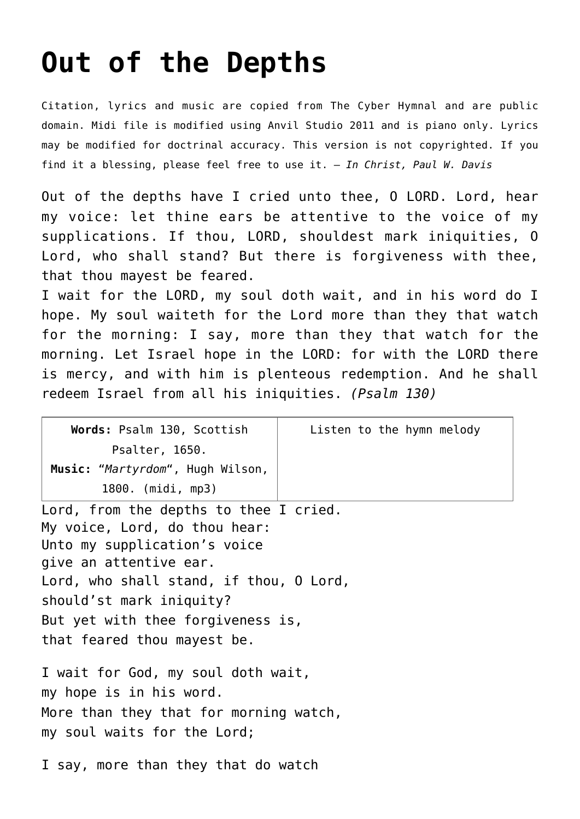## **[Out of the Depths](http://reproachofmen.org/hymns-and-music/out-of-the-depths/)**

Citation, lyrics and music are copied from [The Cyber Hymnal](http://www.hymntime.com/tch/index.htm) and are public domain. Midi file is modified using Anvil Studio 2011 and is piano only. Lyrics may be modified for doctrinal accuracy. This version is not copyrighted. If you find it a blessing, please feel free to use it. — *In Christ, Paul W. Davis*

Out of the depths have I cried unto thee, O LORD. Lord, hear my voice: let thine ears be attentive to the voice of my supplications. If thou, LORD, shouldest mark iniquities, O Lord, who shall stand? But there is forgiveness with thee, that thou mayest be feared.

I wait for the LORD, my soul doth wait, and in his word do I hope. My soul waiteth for the Lord more than they that watch for the morning: I say, more than they that watch for the morning. Let Israel hope in the LORD: for with the LORD there is mercy, and with him is plenteous redemption. And he shall redeem Israel from all his iniquities. *(Psalm 130)*

| Words: Psalm 130, Scottish         | Listen to the hymn melody |
|------------------------------------|---------------------------|
| Psalter, 1650.                     |                           |
| Music: "Martyrdom", Hugh Wilson,   |                           |
| 1800. (midi, mp3)                  |                           |
| force the depthentic theor T color |                           |

Lord, from the depths to thee I cried. My voice, Lord, do thou hear: Unto my supplication's voice give an attentive ear. Lord, who shall stand, if thou, O Lord, should'st mark iniquity? But yet with thee forgiveness is, that feared thou mayest be.

I wait for God, my soul doth wait, my hope is in his word. More than they that for morning watch, my soul waits for the Lord;

I say, more than they that do watch